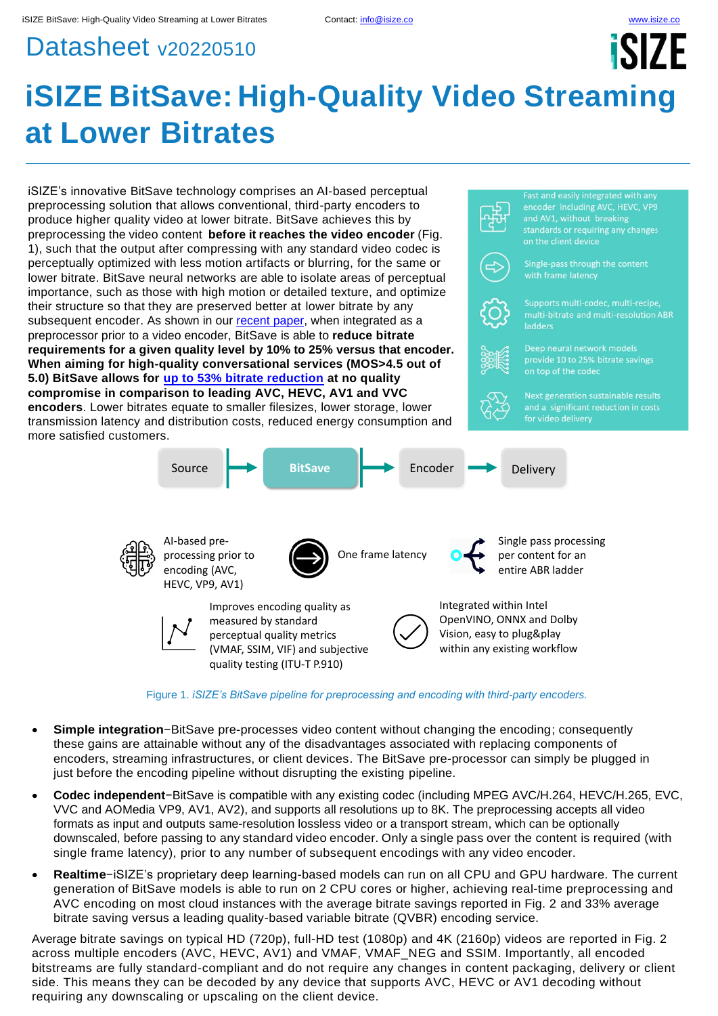# Datasheet v20220510

# **iSIZE BitSave: High-Quality Video Streaming at Lower Bitrates**



Figure 1. *iSIZE's BitSave pipeline for preprocessing and encoding with third-party encoders.*

- **Simple integration**−BitSave pre-processes video content without changing the encoding; consequently these gains are attainable without any of the disadvantages associated with replacing components of encoders, streaming infrastructures, or client devices. The BitSave pre-processor can simply be plugged in just before the encoding pipeline without disrupting the existing pipeline.
- **Codec independent**−BitSave is compatible with any existing codec (including MPEG AVC/H.264, HEVC/H.265, EVC, VVC and AOMedia VP9, AV1, AV2), and supports all resolutions up to 8K. The preprocessing accepts all video formats as input and outputs same-resolution lossless video or a transport stream, which can be optionally downscaled, before passing to any standard video encoder. Only a single pass over the content is required (with single frame latency), prior to any number of subsequent encodings with any video encoder.
- **Realtime**−iSIZE's proprietary deep learning-based models can run on all CPU and GPU hardware. The current generation of BitSave models is able to run on 2 CPU cores or higher, achieving real-time preprocessing and AVC encoding on most cloud instances with the average bitrate savings reported in Fig. 2 and 33% average bitrate saving versus a leading quality-based variable bitrate (QVBR) encoding service.

Average bitrate savings on typical HD (720p), full-HD test (1080p) and 4K (2160p) videos are reported in Fig. 2 across multiple encoders (AVC, HEVC, AV1) and VMAF, VMAF\_NEG and SSIM. Importantly, all encoded bitstreams are fully standard-compliant and do not require any changes in content packaging, delivery or client side. This means they can be decoded by any device that supports AVC, HEVC or AV1 decoding without requiring any downscaling or upscaling on the client device.